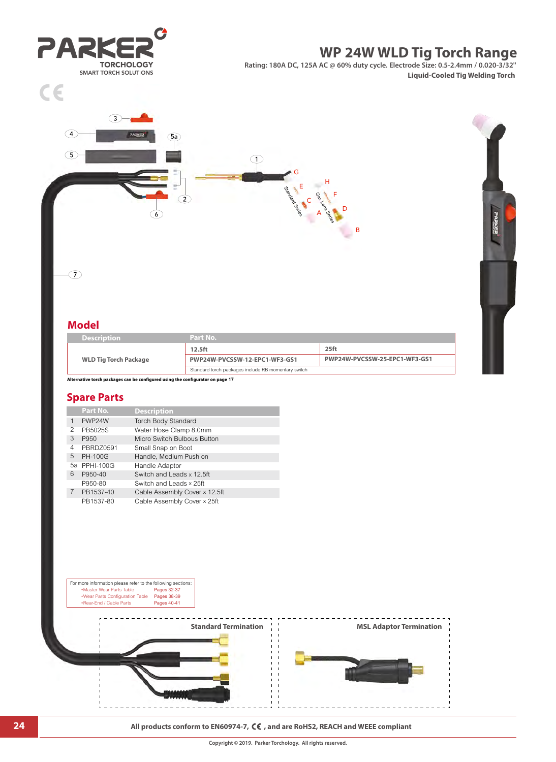



#### **24 All products conform to EN60974-7,**  $\zeta \in$ **, and are RoHS2, REACH and WEEE compliant**

**Standard Termination**  $\begin{array}{c} | \ | \end{array}$  **MSL Adaptor Termination**